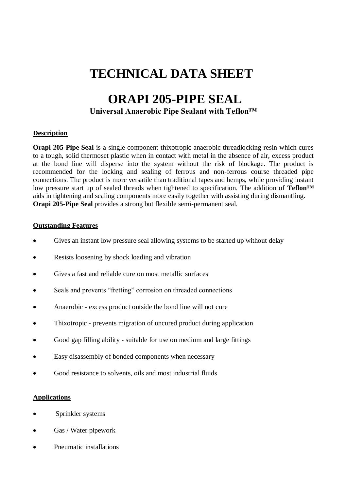## **TECHNICAL DATA SHEET**

### **ORAPI 205-PIPE SEAL**

### **Universal Anaerobic Pipe Sealant with Teflon™**

### **Description**

**Orapi 205-Pipe Seal** is a single component thixotropic anaerobic threadlocking resin which cures to a tough, solid thermoset plastic when in contact with metal in the absence of air, excess product at the bond line will disperse into the system without the risk of blockage. The product is recommended for the locking and sealing of ferrous and non-ferrous course threaded pipe connections. The product is more versatile than traditional tapes and hemps, while providing instant low pressure start up of sealed threads when tightened to specification. The addition of **Teflon™**  aids in tightening and sealing components more easily together with assisting during dismantling. **Orapi 205-Pipe Seal** provides a strong but flexible semi-permanent seal.

### **Outstanding Features**

- Gives an instant low pressure seal allowing systems to be started up without delay
- Resists loosening by shock loading and vibration
- Gives a fast and reliable cure on most metallic surfaces
- Seals and prevents "fretting" corrosion on threaded connections
- Anaerobic excess product outside the bond line will not cure
- Thixotropic prevents migration of uncured product during application
- Good gap filling ability suitable for use on medium and large fittings
- Easy disassembly of bonded components when necessary
- Good resistance to solvents, oils and most industrial fluids

#### **Applications**

- Sprinkler systems
- Gas / Water pipework
- Pneumatic installations